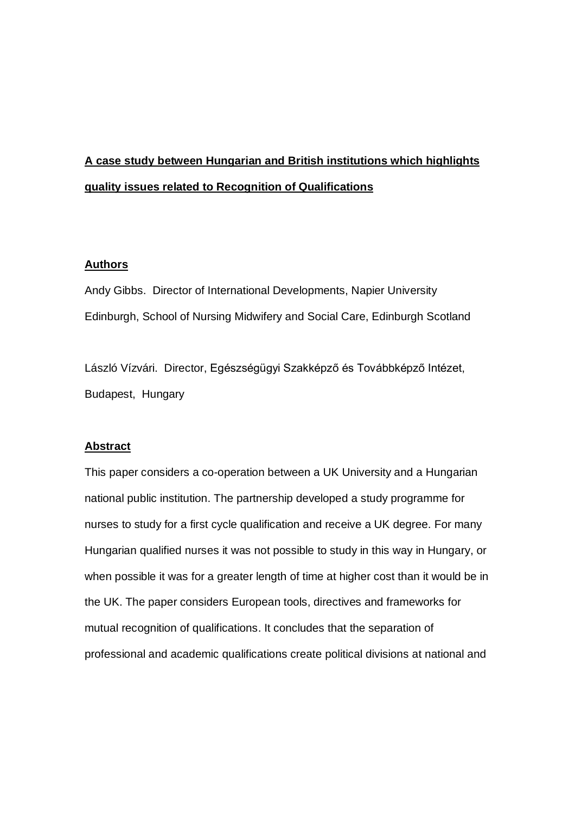# **A case study between Hungarian and British institutions which highlights quality issues related to Recognition of Qualifications**

## **Authors**

Andy Gibbs. Director of International Developments, Napier University Edinburgh, School of Nursing Midwifery and Social Care, Edinburgh Scotland

László Vízvári. Director, Egészségügyi Szakképző és Továbbképző Intézet, Budapest, Hungary

## **Abstract**

This paper considers a co-operation between a UK University and a Hungarian national public institution. The partnership developed a study programme for nurses to study for a first cycle qualification and receive a UK degree. For many Hungarian qualified nurses it was not possible to study in this way in Hungary, or when possible it was for a greater length of time at higher cost than it would be in the UK. The paper considers European tools, directives and frameworks for mutual recognition of qualifications. It concludes that the separation of professional and academic qualifications create political divisions at national and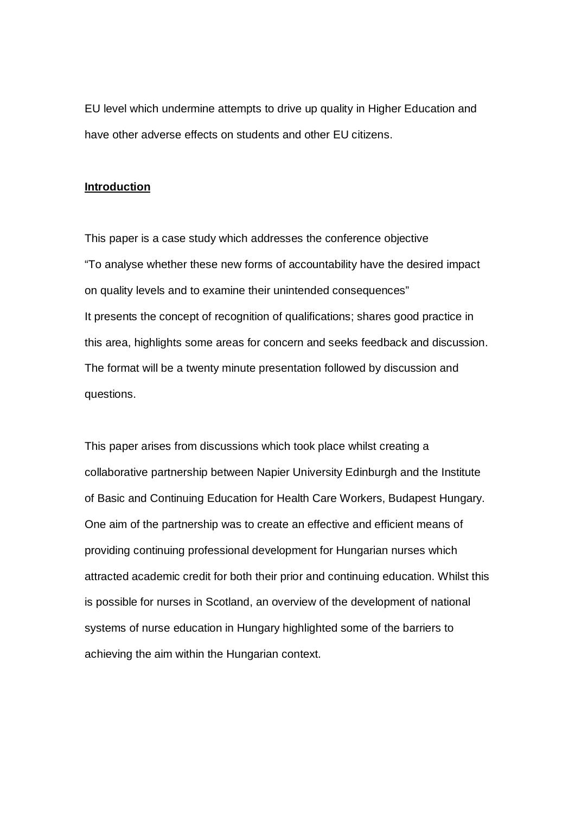EU level which undermine attempts to drive up quality in Higher Education and have other adverse effects on students and other EU citizens.

#### **Introduction**

This paper is a case study which addresses the conference objective "To analyse whether these new forms of accountability have the desired impact on quality levels and to examine their unintended consequences" It presents the concept of recognition of qualifications; shares good practice in this area, highlights some areas for concern and seeks feedback and discussion. The format will be a twenty minute presentation followed by discussion and questions.

This paper arises from discussions which took place whilst creating a collaborative partnership between Napier University Edinburgh and the Institute of Basic and Continuing Education for Health Care Workers, Budapest Hungary. One aim of the partnership was to create an effective and efficient means of providing continuing professional development for Hungarian nurses which attracted academic credit for both their prior and continuing education. Whilst this is possible for nurses in Scotland, an overview of the development of national systems of nurse education in Hungary highlighted some of the barriers to achieving the aim within the Hungarian context.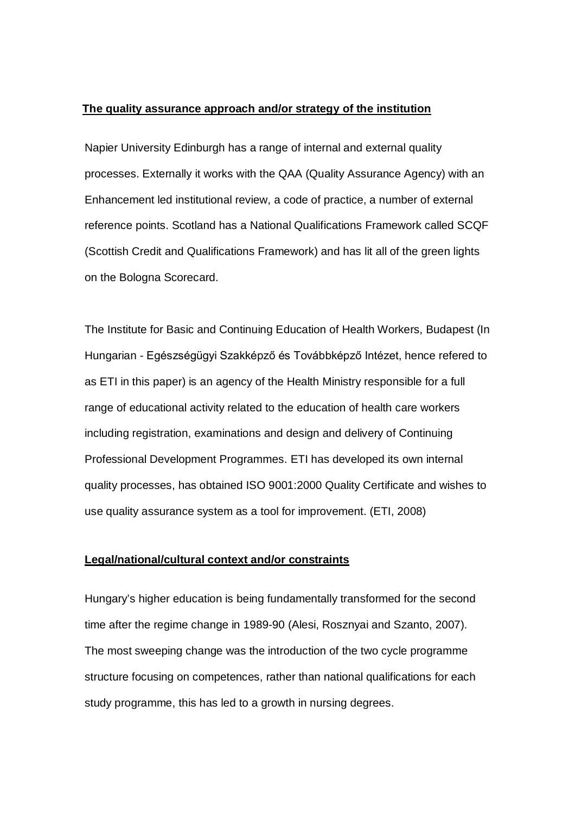#### **The quality assurance approach and/or strategy of the institution**

Napier University Edinburgh has a range of internal and external quality processes. Externally it works with the QAA (Quality Assurance Agency) with an Enhancement led institutional review, a code of practice, a number of external reference points. Scotland has a National Qualifications Framework called SCQF (Scottish Credit and Qualifications Framework) and has lit all of the green lights on the Bologna Scorecard.

The Institute for Basic and Continuing Education of Health Workers, Budapest (In Hungarian - Egészségügyi Szakképző és Továbbképző Intézet, hence refered to as ETI in this paper) is an agency of the Health Ministry responsible for a full range of educational activity related to the education of health care workers including registration, examinations and design and delivery of Continuing Professional Development Programmes. ETI has developed its own internal quality processes, has obtained ISO 9001:2000 Quality Certificate and wishes to use quality assurance system as a tool for improvement. (ETI, 2008)

# **Legal/national/cultural context and/or constraints**

Hungary's higher education is being fundamentally transformed for the second time after the regime change in 1989-90 (Alesi, Rosznyai and Szanto, 2007). The most sweeping change was the introduction of the two cycle programme structure focusing on competences, rather than national qualifications for each study programme, this has led to a growth in nursing degrees.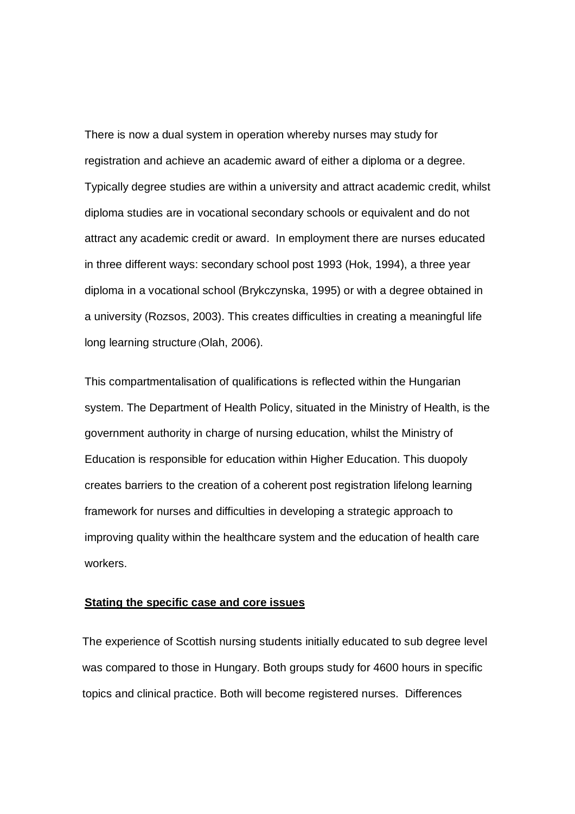There is now a dual system in operation whereby nurses may study for registration and achieve an academic award of either a diploma or a degree. Typically degree studies are within a university and attract academic credit, whilst diploma studies are in vocational secondary schools or equivalent and do not attract any academic credit or award. In employment there are nurses educated in three different ways: secondary school post 1993 (Hok, 1994), a three year diploma in a vocational school (Brykczynska, 1995) or with a degree obtained in a university (Rozsos, 2003). This creates difficulties in creating a meaningful life long learning structure (Olah, 2006).

This compartmentalisation of qualifications is reflected within the Hungarian system. The Department of Health Policy, situated in the Ministry of Health, is the government authority in charge of nursing education, whilst the Ministry of Education is responsible for education within Higher Education. This duopoly creates barriers to the creation of a coherent post registration lifelong learning framework for nurses and difficulties in developing a strategic approach to improving quality within the healthcare system and the education of health care workers.

### **Stating the specific case and core issues**

The experience of Scottish nursing students initially educated to sub degree level was compared to those in Hungary. Both groups study for 4600 hours in specific topics and clinical practice. Both will become registered nurses. Differences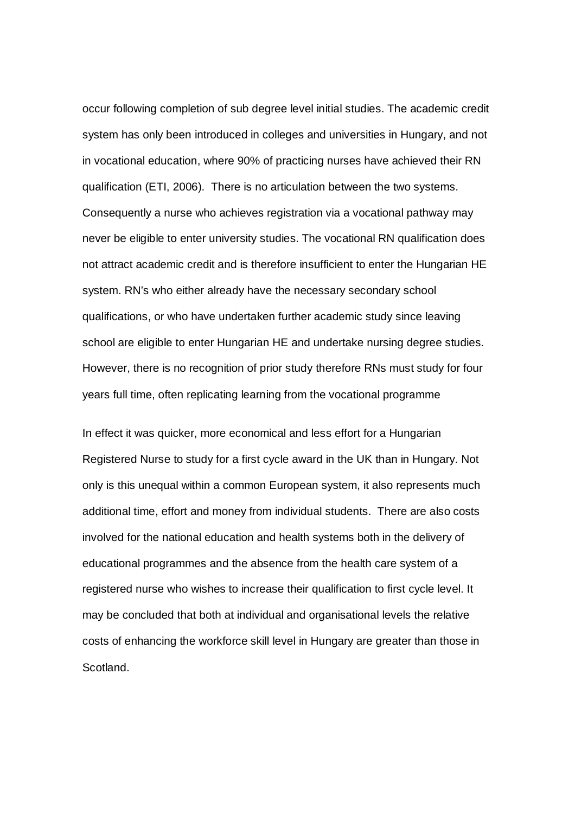occur following completion of sub degree level initial studies. The academic credit system has only been introduced in colleges and universities in Hungary, and not in vocational education, where 90% of practicing nurses have achieved their RN qualification (ETI, 2006). There is no articulation between the two systems. Consequently a nurse who achieves registration via a vocational pathway may never be eligible to enter university studies. The vocational RN qualification does not attract academic credit and is therefore insufficient to enter the Hungarian HE system. RN's who either already have the necessary secondary school qualifications, or who have undertaken further academic study since leaving school are eligible to enter Hungarian HE and undertake nursing degree studies. However, there is no recognition of prior study therefore RNs must study for four years full time, often replicating learning from the vocational programme

In effect it was quicker, more economical and less effort for a Hungarian Registered Nurse to study for a first cycle award in the UK than in Hungary. Not only is this unequal within a common European system, it also represents much additional time, effort and money from individual students. There are also costs involved for the national education and health systems both in the delivery of educational programmes and the absence from the health care system of a registered nurse who wishes to increase their qualification to first cycle level. It may be concluded that both at individual and organisational levels the relative costs of enhancing the workforce skill level in Hungary are greater than those in Scotland.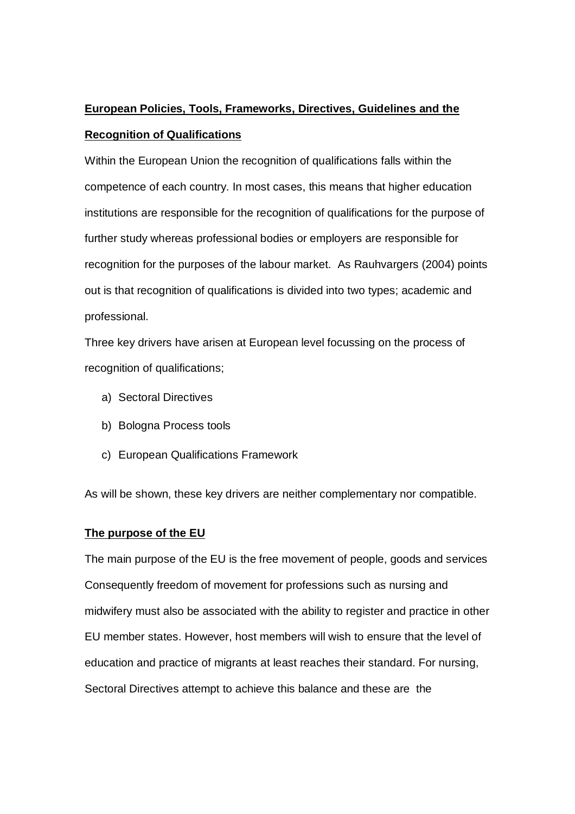# **European Policies, Tools, Frameworks, Directives, Guidelines and the Recognition of Qualifications**

Within the European Union the recognition of qualifications falls within the competence of each country. In most cases, this means that higher education institutions are responsible for the recognition of qualifications for the purpose of further study whereas professional bodies or employers are responsible for recognition for the purposes of the labour market. As Rauhvargers (2004) points out is that recognition of qualifications is divided into two types; academic and professional.

Three key drivers have arisen at European level focussing on the process of recognition of qualifications;

- a) Sectoral Directives
- b) Bologna Process tools
- c) European Qualifications Framework

As will be shown, these key drivers are neither complementary nor compatible.

# **The purpose of the EU**

The main purpose of the EU is the free movement of people, goods and services Consequently freedom of movement for professions such as nursing and midwifery must also be associated with the ability to register and practice in other EU member states. However, host members will wish to ensure that the level of education and practice of migrants at least reaches their standard. For nursing, Sectoral Directives attempt to achieve this balance and these are the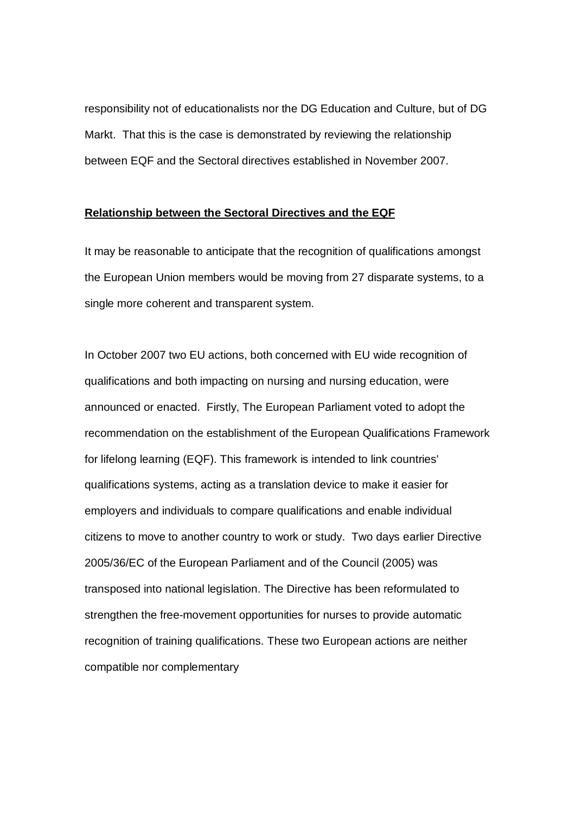responsibility not of educationalists nor the DG Education and Culture, but of DG Markt. That this is the case is demonstrated by reviewing the relationship between EQF and the Sectoral directives established in November 2007.

#### **Relationship between the Sectoral Directives and the EQF**

It may be reasonable to anticipate that the recognition of qualifications amongst the European Union members would be moving from 27 disparate systems, to a single more coherent and transparent system.

In October 2007 two EU actions, both concerned with EU wide recognition of qualifications and both impacting on nursing and nursing education, were announced or enacted. Firstly, The European Parliament voted to adopt the recommendation on the establishment of the European Qualifications Framework for lifelong learning (EQF). This framework is intended to link countries' qualifications systems, acting as a translation device to make it easier for employers and individuals to compare qualifications and enable individual citizens to move to another country to work or study. Two days earlier Directive 2005/36/EC of the European Parliament and of the Council (2005) was transposed into national legislation. The Directive has been reformulated to strengthen the free-movement opportunities for nurses to provide automatic recognition of training qualifications. These two European actions are neither compatible nor complementary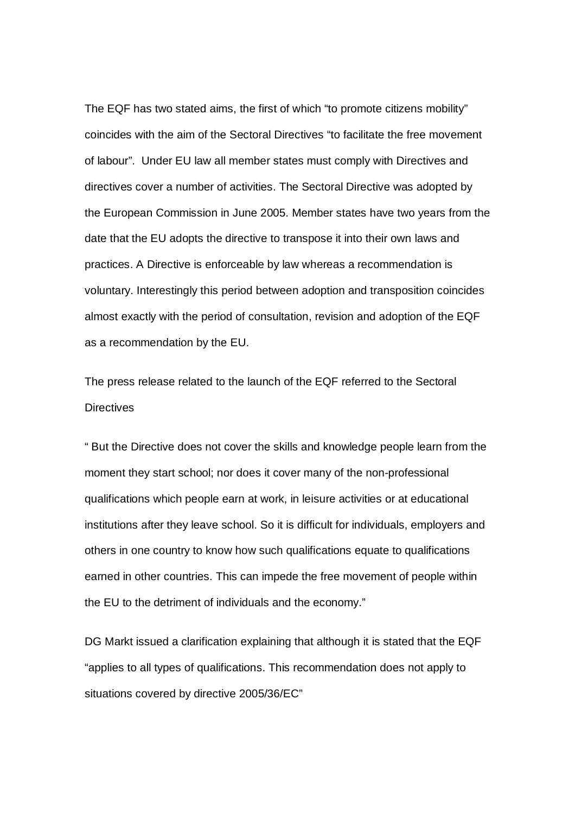The EQF has two stated aims, the first of which "to promote citizens mobility" coincides with the aim of the Sectoral Directives "to facilitate the free movement of labour". Under EU law all member states must comply with Directives and directives cover a number of activities. The Sectoral Directive was adopted by the European Commission in June 2005. Member states have two years from the date that the EU adopts the directive to transpose it into their own laws and practices. A Directive is enforceable by law whereas a recommendation is voluntary. Interestingly this period between adoption and transposition coincides almost exactly with the period of consultation, revision and adoption of the EQF as a recommendation by the EU.

The press release related to the launch of the EQF referred to the Sectoral **Directives** 

" But the Directive does not cover the skills and knowledge people learn from the moment they start school; nor does it cover many of the non-professional qualifications which people earn at work, in leisure activities or at educational institutions after they leave school. So it is difficult for individuals, employers and others in one country to know how such qualifications equate to qualifications earned in other countries. This can impede the free movement of people within the EU to the detriment of individuals and the economy."

DG Markt issued a clarification explaining that although it is stated that the EQF "applies to all types of qualifications. This recommendation does not apply to situations covered by directive 2005/36/EC"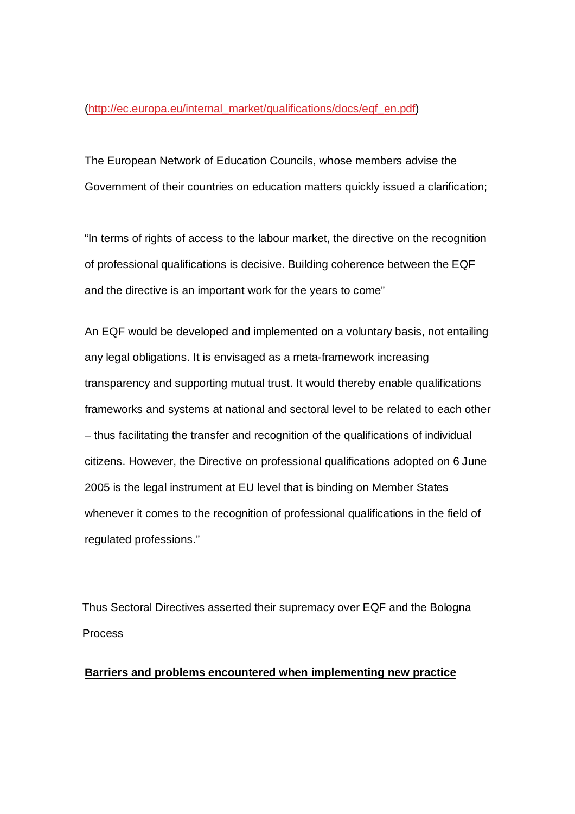#### (http://ec.europa.eu/internal\_market/qualifications/docs/eqf\_en.pdf)

The European Network of Education Councils, whose members advise the Government of their countries on education matters quickly issued a clarification;

"In terms of rights of access to the labour market, the directive on the recognition of professional qualifications is decisive. Building coherence between the EQF and the directive is an important work for the years to come"

An EQF would be developed and implemented on a voluntary basis, not entailing any legal obligations. It is envisaged as a meta-framework increasing transparency and supporting mutual trust. It would thereby enable qualifications frameworks and systems at national and sectoral level to be related to each other – thus facilitating the transfer and recognition of the qualifications of individual citizens. However, the Directive on professional qualifications adopted on 6 June 2005 is the legal instrument at EU level that is binding on Member States whenever it comes to the recognition of professional qualifications in the field of regulated professions."

Thus Sectoral Directives asserted their supremacy over EQF and the Bologna Process

## **Barriers and problems encountered when implementing new practice**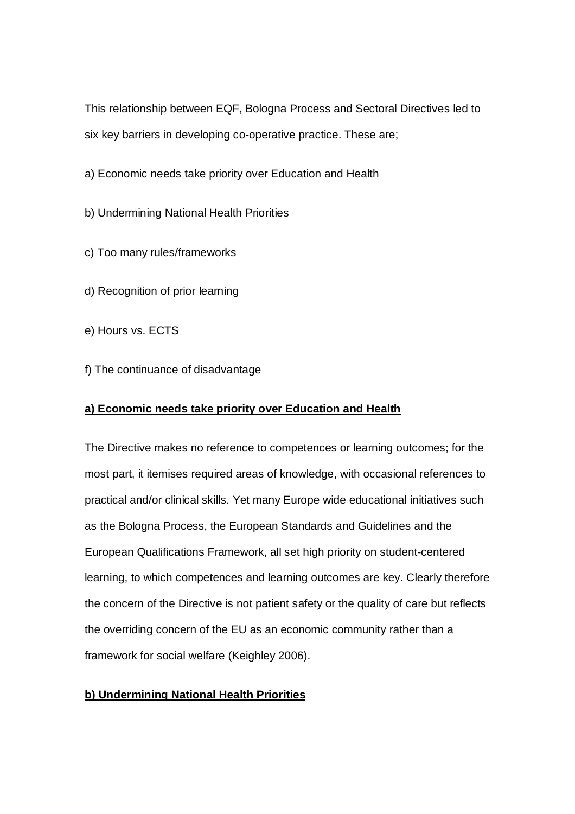This relationship between EQF, Bologna Process and Sectoral Directives led to six key barriers in developing co-operative practice. These are;

a) Economic needs take priority over Education and Health

b) Undermining National Health Priorities

c) Too many rules/frameworks

d) Recognition of prior learning

e) Hours vs. ECTS

f) The continuance of disadvantage

## **a) Economic needs take priority over Education and Health**

The Directive makes no reference to competences or learning outcomes; for the most part, it itemises required areas of knowledge, with occasional references to practical and/or clinical skills. Yet many Europe wide educational initiatives such as the Bologna Process, the European Standards and Guidelines and the European Qualifications Framework, all set high priority on student-centered learning, to which competences and learning outcomes are key. Clearly therefore the concern of the Directive is not patient safety or the quality of care but reflects the overriding concern of the EU as an economic community rather than a framework for social welfare (Keighley 2006).

# **b) Undermining National Health Priorities**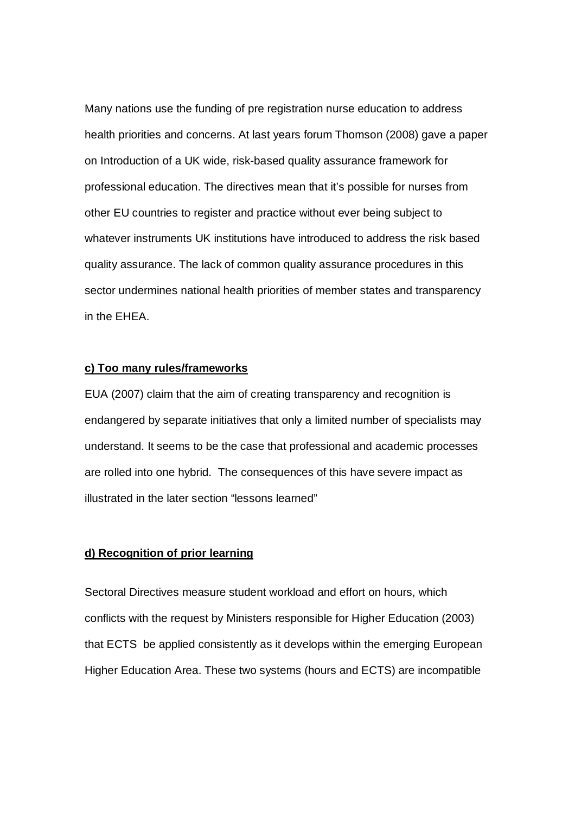Many nations use the funding of pre registration nurse education to address health priorities and concerns. At last years forum Thomson (2008) gave a paper on Introduction of a UK wide, risk-based quality assurance framework for professional education. The directives mean that it's possible for nurses from other EU countries to register and practice without ever being subject to whatever instruments UK institutions have introduced to address the risk based quality assurance. The lack of common quality assurance procedures in this sector undermines national health priorities of member states and transparency in the EHEA.

### **c) Too many rules/frameworks**

EUA (2007) claim that the aim of creating transparency and recognition is endangered by separate initiatives that only a limited number of specialists may understand. It seems to be the case that professional and academic processes are rolled into one hybrid. The consequences of this have severe impact as illustrated in the later section "lessons learned"

## **d) Recognition of prior learning**

Sectoral Directives measure student workload and effort on hours, which conflicts with the request by Ministers responsible for Higher Education (2003) that ECTS be applied consistently as it develops within the emerging European Higher Education Area. These two systems (hours and ECTS) are incompatible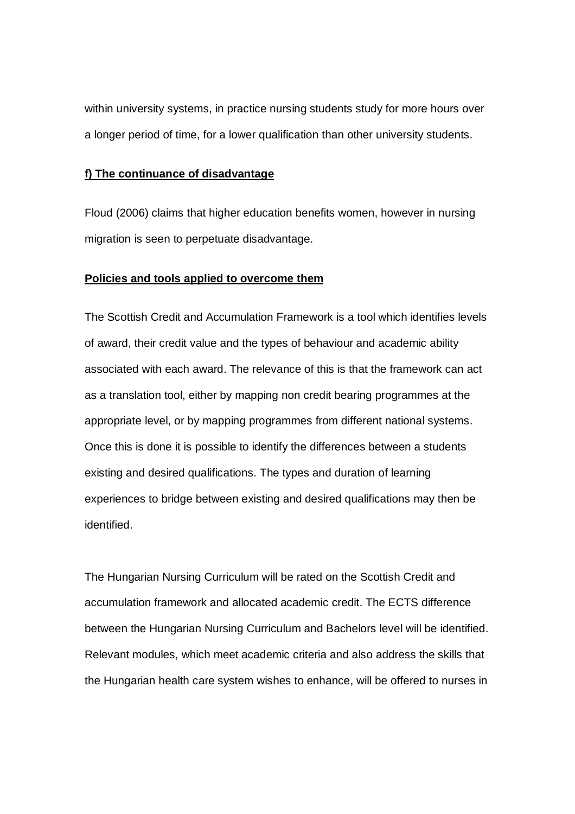within university systems, in practice nursing students study for more hours over a longer period of time, for a lower qualification than other university students.

## **f) The continuance of disadvantage**

Floud (2006) claims that higher education benefits women, however in nursing migration is seen to perpetuate disadvantage.

#### **Policies and tools applied to overcome them**

The Scottish Credit and Accumulation Framework is a tool which identifies levels of award, their credit value and the types of behaviour and academic ability associated with each award. The relevance of this is that the framework can act as a translation tool, either by mapping non credit bearing programmes at the appropriate level, or by mapping programmes from different national systems. Once this is done it is possible to identify the differences between a students existing and desired qualifications. The types and duration of learning experiences to bridge between existing and desired qualifications may then be identified.

The Hungarian Nursing Curriculum will be rated on the Scottish Credit and accumulation framework and allocated academic credit. The ECTS difference between the Hungarian Nursing Curriculum and Bachelors level will be identified. Relevant modules, which meet academic criteria and also address the skills that the Hungarian health care system wishes to enhance, will be offered to nurses in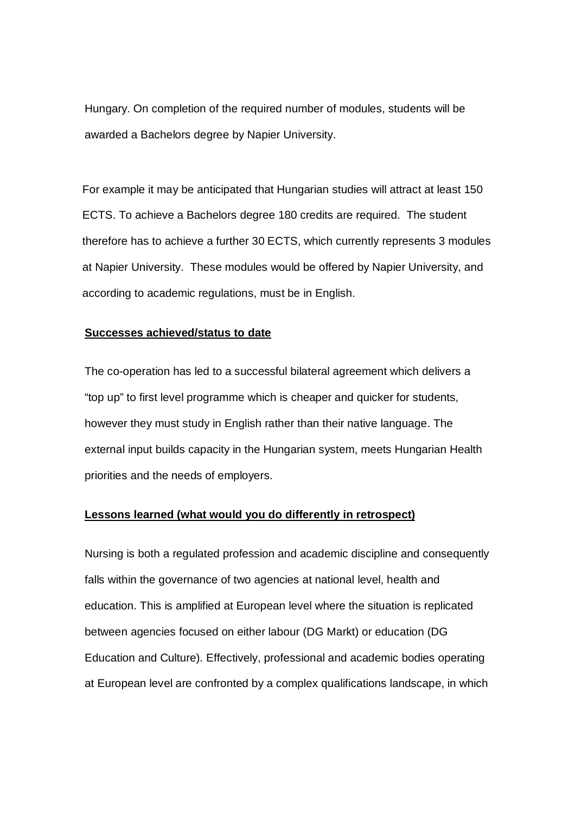Hungary. On completion of the required number of modules, students will be awarded a Bachelors degree by Napier University.

For example it may be anticipated that Hungarian studies will attract at least 150 ECTS. To achieve a Bachelors degree 180 credits are required. The student therefore has to achieve a further 30 ECTS, which currently represents 3 modules at Napier University. These modules would be offered by Napier University, and according to academic regulations, must be in English.

### **Successes achieved/status to date**

The co-operation has led to a successful bilateral agreement which delivers a "top up" to first level programme which is cheaper and quicker for students, however they must study in English rather than their native language. The external input builds capacity in the Hungarian system, meets Hungarian Health priorities and the needs of employers.

## **Lessons learned (what would you do differently in retrospect)**

Nursing is both a regulated profession and academic discipline and consequently falls within the governance of two agencies at national level, health and education. This is amplified at European level where the situation is replicated between agencies focused on either labour (DG Markt) or education (DG Education and Culture). Effectively, professional and academic bodies operating at European level are confronted by a complex qualifications landscape, in which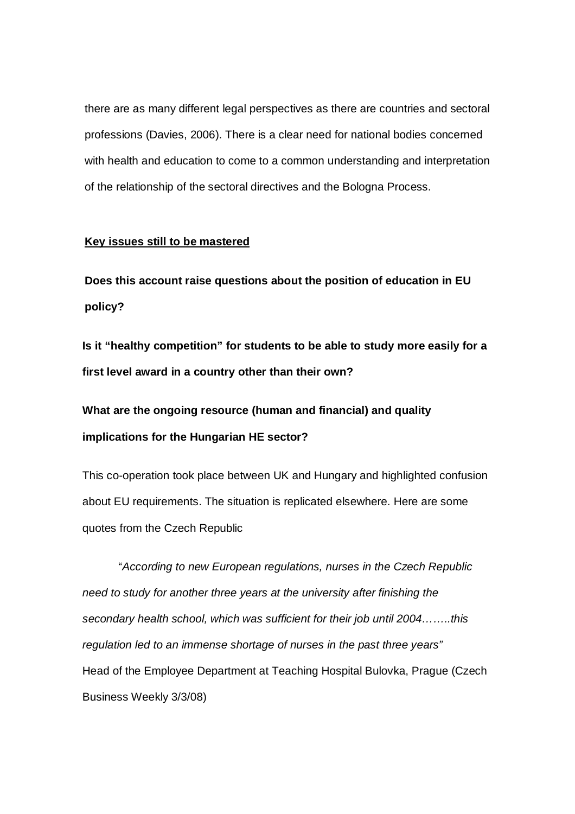there are as many different legal perspectives as there are countries and sectoral professions (Davies, 2006). There is a clear need for national bodies concerned with health and education to come to a common understanding and interpretation of the relationship of the sectoral directives and the Bologna Process.

## **Key issues still to be mastered**

**Does this account raise questions about the position of education in EU policy?**

**Is it "healthy competition" for students to be able to study more easily for a first level award in a country other than their own?**

**What are the ongoing resource (human and financial) and quality implications for the Hungarian HE sector?**

This co-operation took place between UK and Hungary and highlighted confusion about EU requirements. The situation is replicated elsewhere. Here are some quotes from the Czech Republic

"*According to new European regulations, nurses in the Czech Republic need to study for another three years at the university after finishing the secondary health school, which was sufficient for their job until 2004……..this regulation led to an immense shortage of nurses in the past three years"* Head of the Employee Department at Teaching Hospital Bulovka, Prague (Czech Business Weekly 3/3/08)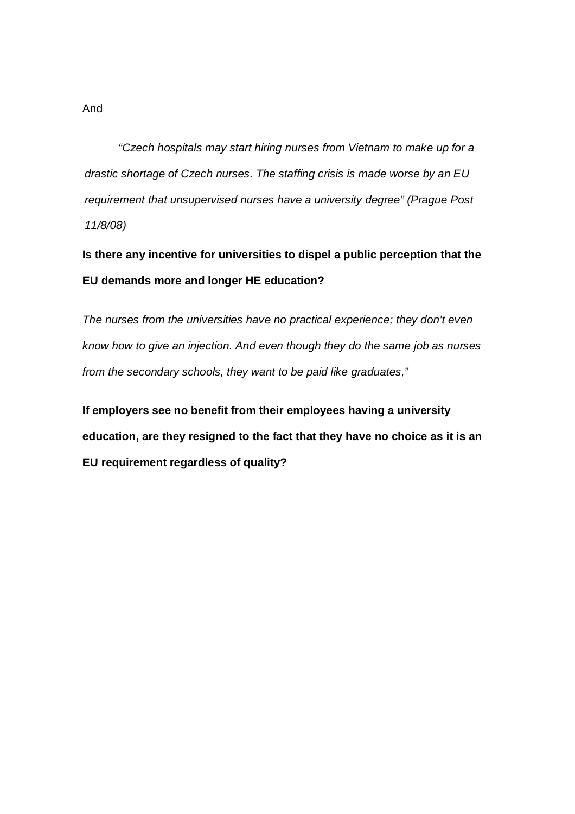*"Czech hospitals may start hiring nurses from Vietnam to make up for a drastic shortage of Czech nurses. The staffing crisis is made worse by an EU requirement that unsupervised nurses have a university degree" (Prague Post 11/8/08)*

**Is there any incentive for universities to dispel a public perception that the EU demands more and longer HE education?**

*The nurses from the universities have no practical experience; they don't even know how to give an injection. And even though they do the same job as nurses from the secondary schools, they want to be paid like graduates,"*

**If employers see no benefit from their employees having a university education, are they resigned to the fact that they have no choice as it is an EU requirement regardless of quality?**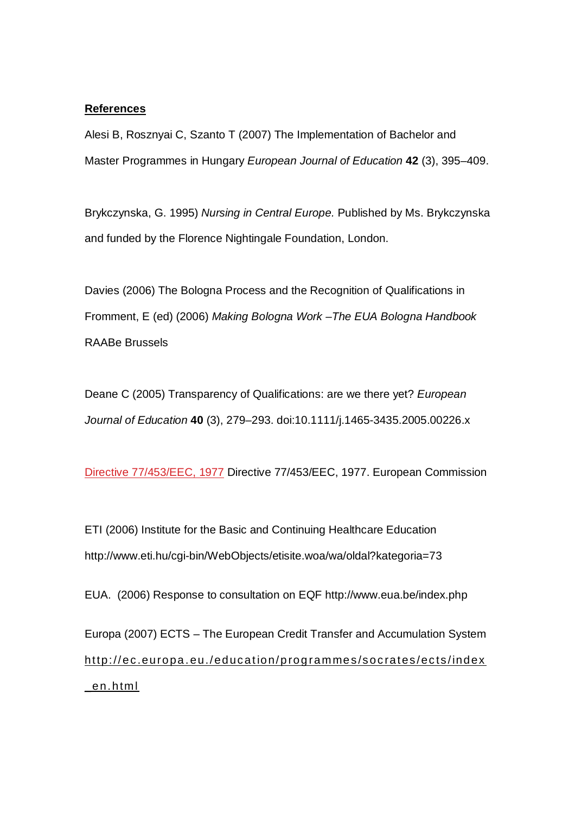# **References**

Alesi B, Rosznyai C, Szanto T (2007) The Implementation of Bachelor and Master Programmes in Hungary *European Journal of Education* **42** (3), 395–409.

Brykczynska, G. 1995) *Nursing in Central Europe.* Published by Ms. Brykczynska and funded by the Florence Nightingale Foundation, London.

Davies (2006) The Bologna Process and the Recognition of Qualifications in Fromment, E (ed) (2006) *Making Bologna Work –The EUA Bologna Handbook* RAABe Brussels

Deane C (2005) Transparency of Qualifications: are we there yet? *European Journal of Education* **40** (3), 279–293. doi:10.1111/j.1465-3435.2005.00226.x

Directive 77/453/EEC, 1977 Directive 77/453/EEC, 1977. European Commission

ETI (2006) Institute for the Basic and Continuing Healthcare Education http://www.eti.hu/cgi-bin/WebObjects/etisite.woa/wa/oldal?kategoria=73

EUA. (2006) Response to consultation on EQF http://www.eua.be/index.php

Europa (2007) ECTS – The European Credit Transfer and Accumulation System http://ec.europa.eu./education/programmes/socrates/ects/index \_en.html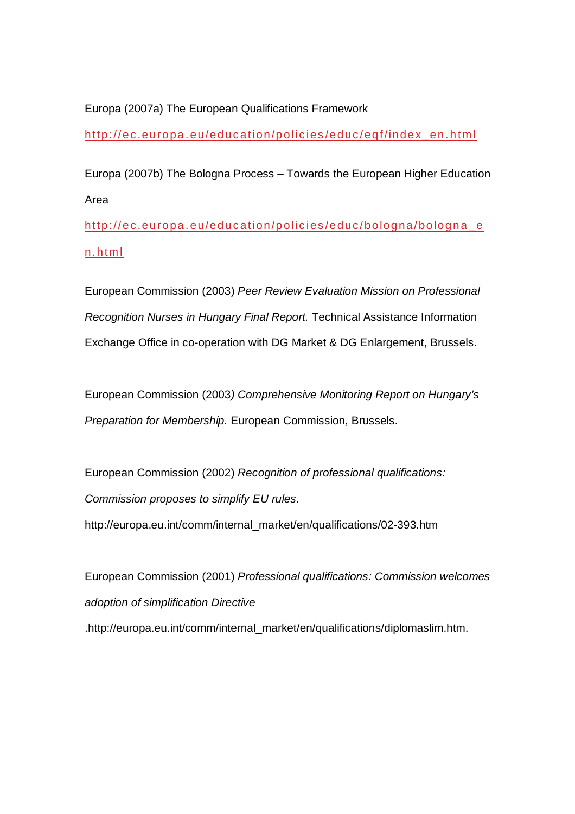Europa (2007a) The European Qualifications Framework

http://ec.europa.eu/education/policies/educ/eqf/index\_en.html

Europa (2007b) The Bologna Process – Towards the European Higher Education Area

http://ec.europa.eu/education/policies/educ/bologna/bologna\_e n.html

European Commission (2003) *Peer Review Evaluation Mission on Professional Recognition Nurses in Hungary Final Report.* Technical Assistance Information Exchange Office in co-operation with DG Market & DG Enlargement, Brussels.

European Commission (2003*) Comprehensive Monitoring Report on Hungary's Preparation for Membership.* European Commission, Brussels.

European Commission (2002) *Recognition of professional qualifications: Commission proposes to simplify EU rules*. http://europa.eu.int/comm/internal\_market/en/qualifications/02-393.htm

European Commission (2001) *Professional qualifications: Commission welcomes adoption of simplification Directive*  .http://europa.eu.int/comm/internal\_market/en/qualifications/diplomaslim.htm.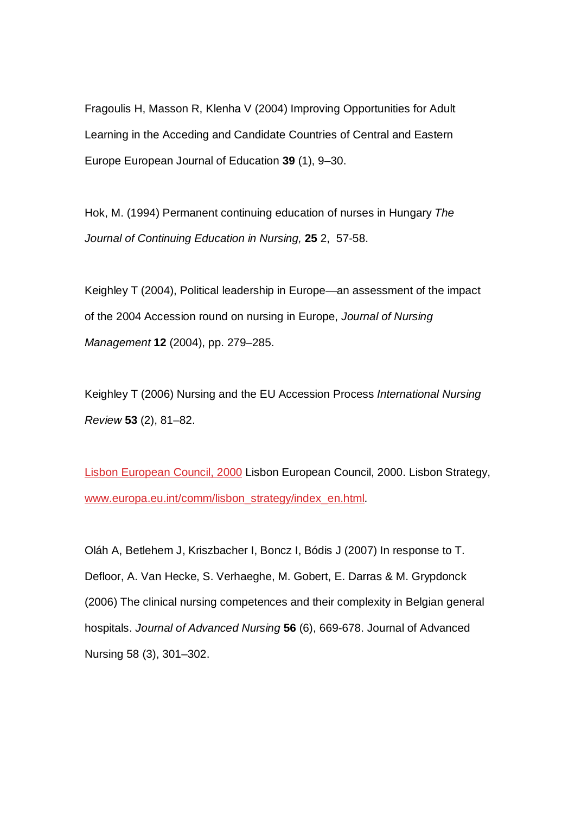Fragoulis H, Masson R, Klenha V (2004) Improving Opportunities for Adult Learning in the Acceding and Candidate Countries of Central and Eastern Europe European Journal of Education **39** (1), 9–30.

Hok, M. (1994) Permanent continuing education of nurses in Hungary *The Journal of Continuing Education in Nursing,* **25** 2, 57-58.

Keighley T (2004), Political leadership in Europe—an assessment of the impact of the 2004 Accession round on nursing in Europe, *Journal of Nursing Management* **12** (2004), pp. 279–285.

Keighley T (2006) Nursing and the EU Accession Process *International Nursing Review* **53** (2), 81–82.

Lisbon European Council, 2000 Lisbon European Council, 2000. Lisbon Strategy, www.europa.eu.int/comm/lisbon\_strategy/index\_en.html.

Oláh A, Betlehem J, Kriszbacher I, Boncz I, Bódis J (2007) In response to T. Defloor, A. Van Hecke, S. Verhaeghe, M. Gobert, E. Darras & M. Grypdonck (2006) The clinical nursing competences and their complexity in Belgian general hospitals. *Journal of Advanced Nursing* **56** (6), 669-678. Journal of Advanced Nursing 58 (3), 301–302.